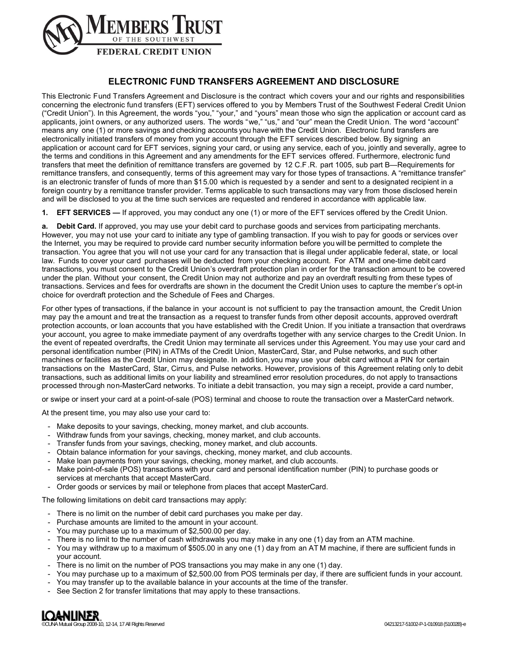

# **ELECTRONIC FUND TRANSFERS AGREEMENT AND DISCLOSURE**

This Electronic Fund Transfers Agreement and Disclosure is the contract which covers your and our rights and responsibilities concerning the electronic fund transfers (EFT) services offered to you by Members Trust of the Southwest Federal Credit Union ("Credit Union"). In this Agreement, the words "you," "your," and "yours" mean those who sign the application or account card as applicants, joint owners, or any authorized users. The words "we," "us," and "our" mean the Credit Union. The word "account" means any one (1) or more savings and checking accounts you have with the Credit Union. Electronic fund transfers are electronically initiated transfers of money from your account through the EFT services described below. By signing an application or account card for EFT services, signing your card, or using any service, each of you, jointly and severally, agree to the terms and conditions in this Agreement and any amendments for the EFT services offered. Furthermore, electronic fund transfers that meet the definition of remittance transfers are governed by 12 C.F.R. part 1005, sub part B—Requirements for remittance transfers, and consequently, terms of this agreement may vary for those types of transactions. A "remittance transfer" is an electronic transfer of funds of more than \$15.00 which is requested by a sender and sent to a designated recipient in a foreign country by a remittance transfer provider. Terms applicable to such transactions may vary from those disclosed herein and will be disclosed to you at the time such services are requested and rendered in accordance with applicable law.

**1. EFT SERVICES —** If approved, you may conduct any one (1) or more of the EFT services offered by the Credit Union.

**a. Debit Card.** If approved, you may use your debit card to purchase goods and services from participating merchants. However, you may not use your card to initiate any type of gambling transaction. If you wish to pay for goods or services over the Internet, you may be required to provide card number security information before you will be permitted to complete the transaction. You agree that you will not use your card for any transaction that is illegal under applicable federal, state, or local law. Funds to cover your card purchases will be deducted from your checking account. For ATM and one-time debit card transactions, you must consent to the Credit Union's overdraft protection plan in order for the transaction amount to be covered under the plan. Without your consent, the Credit Union may not authorize and pay an overdraft resulting from these types of transactions. Services and fees for overdrafts are shown in the document the Credit Union uses to capture the member's opt-in choice for overdraft protection and the Schedule of Fees and Charges.

For other types of transactions, if the balance in your account is not sufficient to pay the transaction amount, the Credit Union may pay the amount and treat the transaction as a request to transfer funds from other deposit accounts, approved overdraft protection accounts, or loan accounts that you have established with the Credit Union. If you initiate a transaction that overdraws your account, you agree to make immediate payment of any overdrafts together with any service charges to the Credit Union. In the event of repeated overdrafts, the Credit Union may terminate all services under this Agreement. You may use your card and personal identification number (PIN) in ATMs of the Credit Union, MasterCard, Star, and Pulse networks, and such other machines or facilities as the Credit Union may designate. In addi tion, you may use your debit card without a PIN for certain transactions on the MasterCard, Star, Cirrus, and Pulse networks. However, provisions of this Agreement relating only to debit transactions, such as additional limits on your liability and streamlined error resolution procedures, do not apply to transactions processed through non-MasterCard networks. To initiate a debit transaction, you may sign a receipt, provide a card number,

or swipe or insert your card at a point-of-sale (POS) terminal and choose to route the transaction over a MasterCard network.

At the present time, you may also use your card to:

- Make deposits to your savings, checking, money market, and club accounts.
- Withdraw funds from your savings, checking, money market, and club accounts.
- Transfer funds from your savings, checking, money market, and club accounts.
- Obtain balance information for your savings, checking, money market, and club accounts.
- Make loan payments from your savings, checking, money market, and club accounts.
- Make point-of-sale (POS) transactions with your card and personal identification number (PIN) to purchase goods or services at merchants that accept MasterCard.
- Order goods or services by mail or telephone from places that accept MasterCard.

The following limitations on debit card transactions may apply:

- There is no limit on the number of debit card purchases you make per day.
- Purchase amounts are limited to the amount in your account.
- You may purchase up to a maximum of \$2,500.00 per day.
- There is no limit to the number of cash withdrawals you may make in any one (1) day from an ATM machine.
- You may withdraw up to a maximum of \$505.00 in any one (1) day from an AT M machine, if there are sufficient funds in your account.
- There is no limit on the number of POS transactions you may make in any one (1) day.
- You may purchase up to a maximum of \$2,500.00 from POS terminals per day, if there are sufficient funds in your account.
- You may transfer up to the available balance in your accounts at the time of the transfer.
- See Section 2 for transfer limitations that may apply to these transactions.

©CUNA Mutual Group 2008-10, 12-14, 17 All Rights Reserved 04213217-51002-P-1-010918 (51002B)-e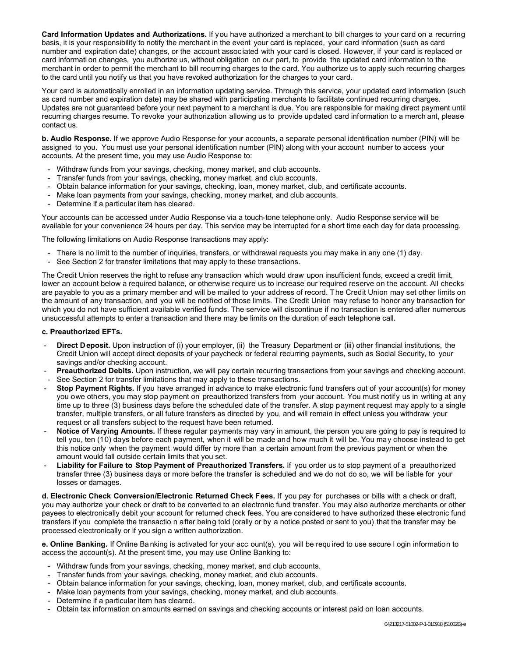**Card Information Updates and Authorizations.** If you have authorized a merchant to bill charges to your card on a recurring basis, it is your responsibility to notify the merchant in the event your card is replaced, your card information (such as card number and expiration date) changes, or the account assoc iated with your card is closed. However, if your card is replaced or card informati on changes, you authorize us, without obligation on our part, to provide the updated card information to the merchant in order to permit the merchant to bill recurring charges to the card. You authorize us to apply such recurring charges to the card until you notify us that you have revoked authorization for the charges to your card.

Your card is automatically enrolled in an information updating service. Through this service, your updated card information (such as card number and expiration date) may be shared with participating merchants to facilitate continued recurring charges. Updates are not guaranteed before your next payment to a merchant is due. You are responsible for making direct payment until recurring charges resume. To revoke your authorization allowing us to provide updated card information to a merch ant, please contact us.

**b. Audio Response.** If we approve Audio Response for your accounts, a separate personal identification number (PIN) will be assigned to you. You must use your personal identification number (PIN) along with your account number to access your accounts. At the present time, you may use Audio Response to:

- Withdraw funds from your savings, checking, money market, and club accounts.
- Transfer funds from your savings, checking, money market, and club accounts.
- Obtain balance information for your savings, checking, loan, money market, club, and certificate accounts.
- Make loan payments from your savings, checking, money market, and club accounts.
- Determine if a particular item has cleared.

Your accounts can be accessed under Audio Response via a touch-tone telephone only. Audio Response service will be available for your convenience 24 hours per day. This service may be interrupted for a short time each day for data processing.

The following limitations on Audio Response transactions may apply:

- There is no limit to the number of inquiries, transfers, or withdrawal requests you may make in any one (1) day.
- See Section 2 for transfer limitations that may apply to these transactions.

The Credit Union reserves the right to refuse any transaction which would draw upon insufficient funds, exceed a credit limit, lower an account below a required balance, or otherwise require us to increase our required reserve on the account. All checks are payable to you as a primary member and will be mailed to your address of record. The Credit Union may set other limits on the amount of any transaction, and you will be notified of those limits. The Credit Union may refuse to honor any transaction for which you do not have sufficient available verified funds. The service will discontinue if no transaction is entered after numerous unsuccessful attempts to enter a transaction and there may be limits on the duration of each telephone call.

## **c. Preauthorized EFTs.**

- **Direct Deposit.** Upon instruction of (i) your employer, (ii) the Treasury Department or (iii) other financial institutions, the Credit Union will accept direct deposits of your paycheck or federal recurring payments, such as Social Security, to your savings and/or checking account.
- **Preauthorized Debits.** Upon instruction, we will pay certain recurring transactions from your savings and checking account.
- See Section 2 for transfer limitations that may apply to these transactions.
- **Stop Payment Rights.** If you have arranged in advance to make electronic fund transfers out of your account(s) for money you owe others, you may stop payment on preauthorized transfers from your account. You must notify us in writing at any time up to three (3) business days before the scheduled date of the transfer. A stop payment request may apply to a single transfer, multiple transfers, or all future transfers as directed by you, and will remain in effect unless you withdraw your request or all transfers subject to the request have been returned.
- **Notice of Varying Amounts.** If these regular payments may vary in amount, the person you are going to pay is required to tell you, ten (10) days before each payment, when it will be made and how much it will be. You may choose instead to get this notice only when the payment would differ by more than a certain amount from the previous payment or when the amount would fall outside certain limits that you set.
- **Liability for Failure to Stop Payment of Preauthorized Transfers.** If you order us to stop payment of a preauthorized transfer three (3) business days or more before the transfer is scheduled and we do not do so, we will be liable for your losses or damages.

**d. Electronic Check Conversion/Electronic Returned Check Fees.** If you pay for purchases or bills with a check or draft, you may authorize your check or draft to be converted to an electronic fund transfer. You may also authorize merchants or other payees to electronically debit your account for returned check fees. You are considered to have authorized these electronic fund transfers if you complete the transactio n after being told (orally or by a notice posted or sent to you) that the transfer may be processed electronically or if you sign a written authorization.

**e. Online Banking.** If Online Ba nking is activated for your acc ount(s), you will be requ ired to use secure l ogin information to access the account(s). At the present time, you may use Online Banking to:

- Withdraw funds from your savings, checking, money market, and club accounts.
- Transfer funds from your savings, checking, money market, and club accounts.
- Obtain balance information for your savings, checking, loan, money market, club, and certificate accounts.
- Make loan payments from your savings, checking, money market, and club accounts.
- Determine if a particular item has cleared.
- Obtain tax information on amounts earned on savings and checking accounts or interest paid on loan accounts.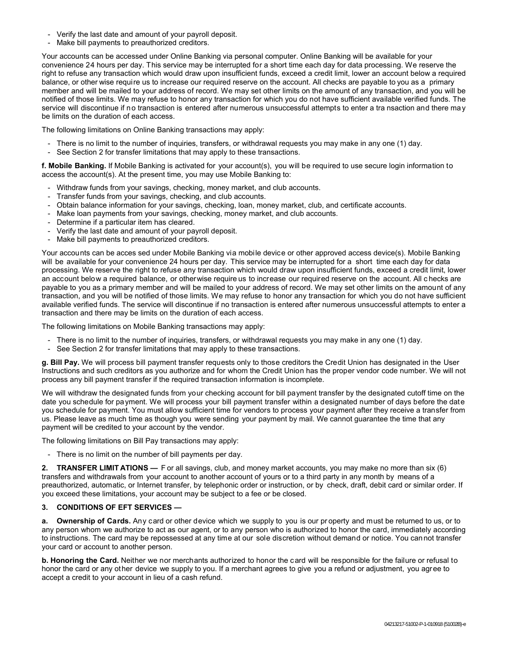- Verify the last date and amount of your payroll deposit.
- Make bill payments to preauthorized creditors.

Your accounts can be accessed under Online Banking via personal computer. Online Banking will be available for your convenience 24 hours per day. This service may be interrupted for a short time each day for data processing. We reserve the right to refuse any transaction which would draw upon insufficient funds, exceed a credit limit, lower an account below a required balance, or other wise require us to increase our required reserve on the account. All checks are payable to you as a primary member and will be mailed to your address of record. We may set other limits on the amount of any transaction, and you will be notified of those limits. We may refuse to honor any transaction for which you do not have sufficient available verified funds. The service will discontinue if no transaction is entered after numerous unsuccessful attempts to enter a tra nsaction and there may be limits on the duration of each access.

The following limitations on Online Banking transactions may apply:

- There is no limit to the number of inquiries, transfers, or withdrawal requests you may make in any one (1) day.
- See Section 2 for transfer limitations that may apply to these transactions.

**f. Mobile Banking.** If Mobile Banking is activated for your account(s), you will be required to use secure login information to access the account(s). At the present time, you may use Mobile Banking to:

- Withdraw funds from your savings, checking, money market, and club accounts.
- Transfer funds from your savings, checking, and club accounts.
- Obtain balance information for your savings, checking, loan, money market, club, and certificate accounts.
- Make loan payments from your savings, checking, money market, and club accounts.
- Determine if a particular item has cleared.
- Verify the last date and amount of your payroll deposit.
- Make bill payments to preauthorized creditors.

Your accounts can be acces sed under Mobile Banking via mobile device or other approved access device(s). Mobile Banking will be available for your convenience 24 hours per day. This service may be interrupted for a short time each day for data processing. We reserve the right to refuse any transaction which would draw upon insufficient funds, exceed a credit limit, lower an account below a required balance, or otherwise require us to increase our required reserve on the account. All c hecks are payable to you as a primary member and will be mailed to your address of record. We may set other limits on the amount of any transaction, and you will be notified of those limits. We may refuse to honor any transaction for which you do not have sufficient available verified funds. The service will discontinue if no transaction is entered after numerous unsuccessful attempts to enter a transaction and there may be limits on the duration of each access.

The following limitations on Mobile Banking transactions may apply:

- There is no limit to the number of inquiries, transfers, or withdrawal requests you may make in any one (1) day.
- See Section 2 for transfer limitations that may apply to these transactions.

**g. Bill Pay.** We will process bill payment transfer requests only to those creditors the Credit Union has designated in the User Instructions and such creditors as you authorize and for whom the Credit Union has the proper vendor code number. We will not process any bill payment transfer if the required transaction information is incomplete.

We will withdraw the designated funds from your checking account for bill payment transfer by the designated cutoff time on the date you schedule for payment. We will process your bill payment transfer within a designated number of days before the date you schedule for payment. You must allow sufficient time for vendors to process your payment after they receive a transfer from us. Please leave as much time as though you were sending your payment by mail. We cannot guarantee the time that any payment will be credited to your account by the vendor.

The following limitations on Bill Pay transactions may apply:

- There is no limit on the number of bill payments per day.

**2. TRANSFER LIMIT ATIONS —** F or all savings, club, and money market accounts, you may make no more than six (6) transfers and withdrawals from your account to another account of yours or to a third party in any month by means of a preauthorized, automatic, or Internet transfer, by telephonic order or instruction, or by check, draft, debit card or similar order. If you exceed these limitations, your account may be subject to a fee or be closed.

## **3. CONDITIONS OF EFT SERVICES —**

**a. Ownership of Cards.** Any card or other device which we supply to you is our pr operty and must be returned to us, or to any person whom we authorize to act as our agent, or to any person who is authorized to honor the card, immediately according to instructions. The card may be repossessed at any time at our sole discretion without demand or notice. You cannot transfer your card or account to another person.

**b. Honoring the Card.** Neither we nor merchants authorized to honor the card will be responsible for the failure or refusal to honor the card or any other device we supply to you. If a merchant agrees to give you a refund or adjustment, you agree to accept a credit to your account in lieu of a cash refund.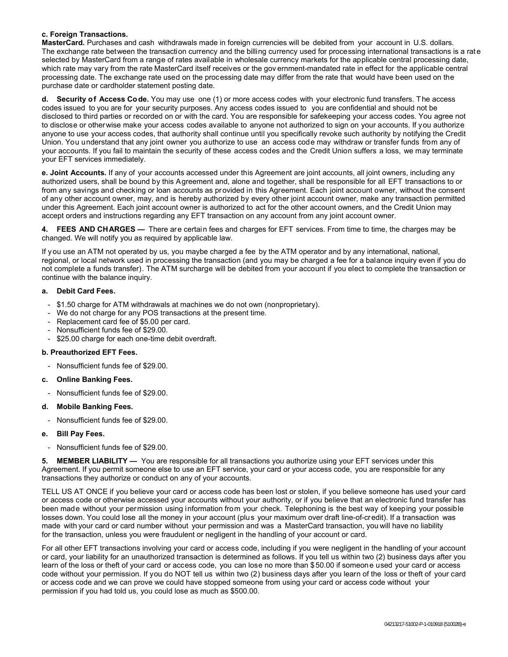## **c. Foreign Transactions.**

**MasterCard.** Purchases and cash withdrawals made in foreign currencies will be debited from your account in U.S. dollars. The exchange rate between the transaction currency and the billing currency used for processing international transactions is a rat e selected by MasterCard from a range of rates available in wholesale currency markets for the applicable central processing date, which rate may vary from the rate MasterCard itself receives or the gov ernment-mandated rate in effect for the applicable central processing date. The exchange rate used on the processing date may differ from the rate that would have been used on the purchase date or cardholder statement posting date.

**d. Security of Access Code.** You may use one (1) or more access codes with your electronic fund transfers. The access codes issued to you are for your security purposes. Any access codes issued to you are confidential and should not be disclosed to third parties or recorded on or with the card. You are responsible for safekeeping your access codes. You agree not to disclose or otherwise make your access codes available to anyone not authorized to sign on your accounts. If you authorize anyone to use your access codes, that authority shall continue until you specifically revoke such authority by notifying the Credit Union. You understand that any joint owner you authorize to use an access code may withdraw or transfer funds from any of your accounts. If you fail to maintain the security of these access codes and the Credit Union suffers a loss, we may terminate your EFT services immediately.

**e. Joint Accounts.** If any of your accounts accessed under this Agreement are joint accounts, all joint owners, including any authorized users, shall be bound by this Agreement and, alone and together, shall be responsible for all EFT transactions to or from any savings and checking or loan accounts as provided in this Agreement. Each joint account owner, without the consent of any other account owner, may, and is hereby authorized by every other joint account owner, make any transaction permitted under this Agreement. Each joint account owner is authorized to act for the other account owners, and the Credit Union may accept orders and instructions regarding any EFT transaction on any account from any joint account owner.

**4. FEES AND CHARGES —** There are certain fees and charges for EFT services. From time to time, the charges may be changed. We will notify you as required by applicable law.

If you use an ATM not operated by us, you maybe charged a fee by the ATM operator and by any international, national, regional, or local network used in processing the transaction (and you may be charged a fee for a balance inquiry even if you do not complete a funds transfer). The ATM surcharge will be debited from your account if you elect to complete the transaction or continue with the balance inquiry.

## **a. Debit Card Fees.**

- \$1.50 charge for ATM withdrawals at machines we do not own (nonproprietary).
- We do not charge for any POS transactions at the present time.
- Replacement card fee of \$5.00 per card.
- Nonsufficient funds fee of \$29.00.
- \$25.00 charge for each one-time debit overdraft.

## **b. Preauthorized EFT Fees.**

- Nonsufficient funds fee of \$29.00.
- **c. Online Banking Fees.**
- Nonsufficient funds fee of \$29.00.

## **d. Mobile Banking Fees.**

Nonsufficient funds fee of \$29.00.

## **e. Bill Pay Fees.**

- Nonsufficient funds fee of \$29.00.

**5. MEMBER LIABILITY —** You are responsible for all transactions you authorize using your EFT services under this Agreement. If you permit someone else to use an EFT service, your card or your access code, you are responsible for any transactions they authorize or conduct on any of your accounts.

TELL US AT ONCE if you believe your card or access code has been lost or stolen, if you believe someone has used your card or access code or otherwise accessed your accounts without your authority, or if you believe that an electronic fund transfer has been made without your permission using information from your check. Telephoning is the best way of keeping your possible losses down. You could lose all the money in your account (plus your maximum over draft line-of-credit). If a transaction was made with your card or card number without your permission and was a MasterCard transaction, you will have no liability for the transaction, unless you were fraudulent or negligent in the handling of your account or card.

For all other EFT transactions involving your card or access code, including if you were negligent in the handling of your account or card, your liability for an unauthorized transaction is determined as follows. If you tell us within two (2) business days after you learn of the loss or theft of your card or access code, you can lose no more than \$50.00 if someone used your card or access code without your permission. If you do NOT tell us within two (2) business days after you learn of the loss or theft of your card or access code and we can prove we could have stopped someone from using your card or access code without your permission if you had told us, you could lose as much as \$500.00.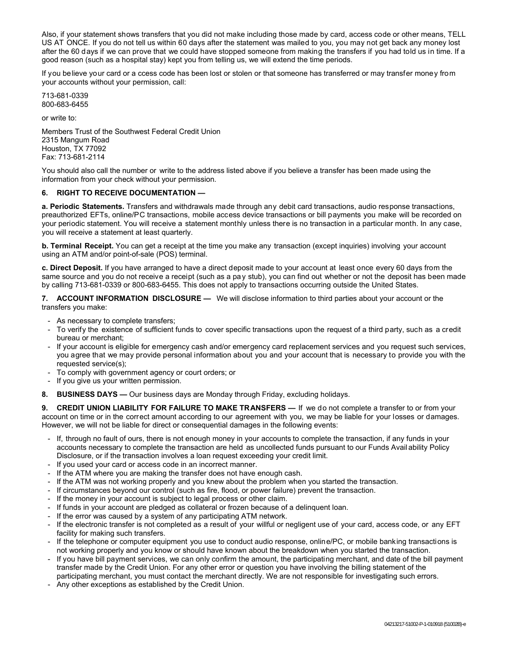Also, if your statement shows transfers that you did not make including those made by card, access code or other means, TELL US AT ONCE. If you do not tell us within 60 days after the statement was mailed to you, you may not get back any money lost after the 60 days if we can prove that we could have stopped someone from making the transfers if you had told us in time. If a good reason (such as a hospital stay) kept you from telling us, we will extend the time periods.

If you believe your card or a ccess code has been lost or stolen or that someone has transferred or may transfer money from your accounts without your permission, call:

713-681-0339 800-683-6455

or write to:

Members Trust of the Southwest Federal Credit Union 2315 Mangum Road Houston, TX 77092 Fax: 713-681-2114

You should also call the number or write to the address listed above if you believe a transfer has been made using the information from your check without your permission.

## **6. RIGHT TO RECEIVE DOCUMENTATION —**

**a. Periodic Statements.** Transfers and withdrawals made through any debit card transactions, audio response transactions, preauthorized EFTs, online/PC transactions, mobile access device transactions or bill payments you make will be recorded on your periodic statement. You will receive a statement monthly unless there is no transaction in a particular month. In any case, you will receive a statement at least quarterly.

**b. Terminal Receipt.** You can get a receipt at the time you make any transaction (except inquiries) involving your account using an ATM and/or point-of-sale (POS) terminal.

**c. Direct Deposit.** If you have arranged to have a direct deposit made to your account at least once every 60 days from the same source and you do not receive a receipt (such as a pay stub), you can find out whether or not the deposit has been made by calling 713-681-0339 or 800-683-6455. This does not apply to transactions occurring outside the United States.

**7. ACCOUNT INFORMATION DISCLOSURE —** We will disclose information to third parties about your account or the transfers you make:

- As necessary to complete transfers;
- To verify the existence of sufficient funds to cover specific transactions upon the request of a third party, such as a credit bureau or merchant;
- If your account is eligible for emergency cash and/or emergency card replacement services and you request such services, you agree that we may provide personal information about you and your account that is necessary to provide you with the requested service(s);
- To comply with government agency or court orders; or
- If you give us your written permission.
- **8. BUSINESS DAYS —** Our business days are Monday through Friday, excluding holidays.

**9. CREDIT UNION LIABILITY FOR FAILURE TO MAKE TRANSFERS —** If we do not complete a transfer to or from your account on time or in the correct amount according to our agreement with you, we may be liable for your losses or damages. However, we will not be liable for direct or consequential damages in the following events:

- If, through no fault of ours, there is not enough money in your accounts to complete the transaction, if any funds in your accounts necessary to complete the transaction are held as uncollected funds pursuant to our Funds Avail ability Policy Disclosure, or if the transaction involves a loan request exceeding your credit limit.
- If you used your card or access code in an incorrect manner.
- If the ATM where you are making the transfer does not have enough cash.
- If the ATM was not working properly and you knew about the problem when you started the transaction.
- If circumstances beyond our control (such as fire, flood, or power failure) prevent the transaction.
- If the money in your account is subject to legal process or other claim.
- If funds in your account are pledged as collateral or frozen because of a delinguent loan.
- If the error was caused by a system of any participating ATM network.
- If the electronic transfer is not completed as a result of your willful or negligent use of your card, access code, or any EFT facility for making such transfers.
- If the telephone or computer equipment you use to conduct audio response, online/PC, or mobile banking transactions is not working properly and you know or should have known about the breakdown when you started the transaction.
- If you have bill payment services, we can only confirm the amount, the participating merchant, and date of the bill payment transfer made by the Credit Union. For any other error or question you have involving the billing statement of the participating merchant, you must contact the merchant directly. We are not responsible for investigating such errors.
- Any other exceptions as established by the Credit Union.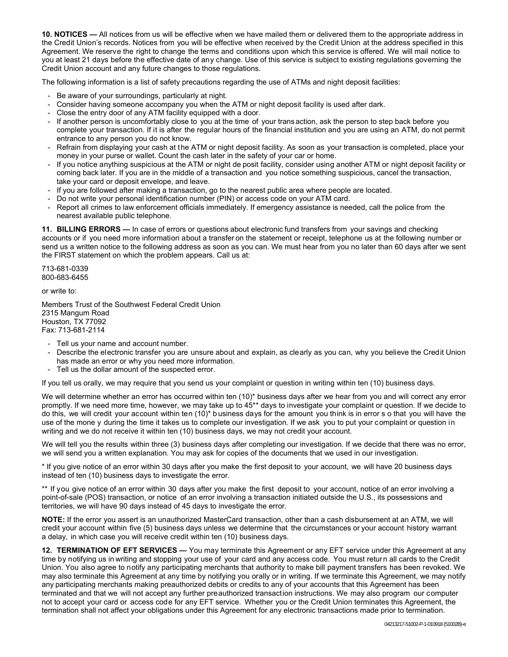**10. NOTICES —** All notices from us will be effective when we have mailed them or delivered them to the appropriate address in the Credit Union's records. Notices from you will be effective when received by the Credit Union at the address specified in this Agreement. We reserve the right to change the terms and conditions upon which this service is offered. We will mail notice to you at least 21 days before the effective date of any change. Use of this service is subject to existing regulations governing the Credit Union account and any future changes to those regulations.

The following information is a list of safety precautions regarding the use of ATMs and night deposit facilities:

- Be aware of your surroundings, particularly at night.
- Consider having someone accompany you when the ATM or night deposit facility is used after dark.
- Close the entry door of any ATM facility equipped with a door.
- If another person is uncomfortably close to you at the time of your trans action, ask the person to step back before you complete your transaction. If it is after the regular hours of the financial institution and you are using an ATM, do not permit entrance to any person you do not know.
- Refrain from displaying your cash at the ATM or night deposit facility. As soon as your transaction is completed, place your money in your purse or wallet. Count the cash later in the safety of your car or home.
- If you notice anything suspicious at the ATM or night de posit facility, consider using another ATM or night deposit facility or coming back later. If you are in the middle of a transaction and you notice something suspicious, cancel the transaction, take your card or deposit envelope, and leave.
- If you are followed after making a transaction, go to the nearest public area where people are located.
- Do not write your personal identification number (PIN) or access code on your ATM card.
- Report all crimes to law enforcement officials immediately. If emergency assistance is needed, call the police from the nearest available public telephone.

**11. BILLING ERRORS —** In case of errors or questions about electronic fund transfers from your savings and checking accounts or if you need more information about a transfer on the statement or receipt, telephone us at the following number or send us a written notice to the following address as soon as you can. We must hear from you no later than 60 days after we sent the FIRST statement on which the problem appears. Call us at:

713-681-0339 800-683-6455

or write to:

Members Trust of the Southwest Federal Credit Union 2315 Mangum Road Houston, TX 77092 Fax: 713-681-2114

- Tell us your name and account number.
- Describe the electronic transfer you are unsure about and explain, as clearly as you can, why you believe the Credit Union has made an error or why you need more information.
- Tell us the dollar amount of the suspected error.

If you tell us orally, we may require that you send us your complaint or question in writing within ten (10) business days.

We will determine whether an error has occurred within ten (10)\* business days after we hear from you and will correct any error promptly. If we need more time, however, we may take up to 45\*\* days to investigate your complaint or question. If we decide to do this, we will credit your account within ten (10)\* b usiness days for the amount you think is in error s o that you will have the use of the mone y during the time it takes us to complete our investigation. If we ask you to put your complaint or question in writing and we do not receive it within ten (10) business days, we may not credit your account.

We will tell you the results within three (3) business days after completing our investigation. If we decide that there was no error, we will send you a written explanation. You may ask for copies of the documents that we used in our investigation.

\* If you give notice of an error within 30 days after you make the first deposit to your account, we will have 20 business days instead of ten (10) business days to investigate the error.

\*\* If you give notice of an error within 30 days after you make the first deposit to your account, notice of an error involving a point-of-sale (POS) transaction, or notice of an error involving a transaction initiated outside the U.S., its possessions and territories, we will have 90 days instead of 45 days to investigate the error.

**NOTE:** If the error you assert is an unauthorized MasterCard transaction, other than a cash disbursement at an ATM, we will credit your account within five (5) business days unless we determine that the circumstances or your account history warrant a delay, in which case you will receive credit within ten (10) business days.

**12. TERMINATION OF EFT SERVICES —** You may terminate this Agreement or any EFT service under this Agreement at any time by notifying us in writing and stopping your use of your card and any access code. You must return all cards to the Credit Union. You also agree to notify any participating merchants that authority to make bill payment transfers has been revoked. We may also terminate this Agreement at any time by notifying you orally or in writing. If we terminate this Agreement, we may notify any participating merchants making preauthorized debits or credits to any of your accounts that this Agreement has been terminated and that we will not accept any further preauthorized transaction instructions. We may also program our computer not to accept your card or access code for any EFT service. Whether you or the Credit Union terminates this Agreement, the termination shall not affect your obligations under this Agreement for any electronic transactions made prior to termination.